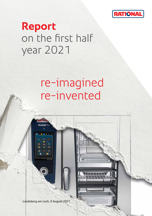

# **Report**  on the first half year 2021

# re-imagined re-invented

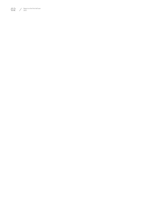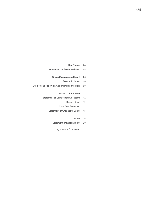**Letter from the Executive Board 05**

#### **Group Management Report 06**

- Economic Report 06
- Outlook and Report on Opportunities and Risks 08

#### **Financial Statements 11**

- Statement of Comprehensive Income 12
	- Balance Sheet 13
	- Cash Flow Statement 14
	- Statement of Changes in Equity 15

#### Notes 16

- Statement of Responsibility 20
	- Legal Notice/Disclaimer 21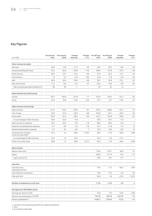$04$  / Report on the first half year

# **Key Figures**

| in m EUR                                             | 2021  | 2nd quarter 2nd quarter<br>2020 | Change<br>absolute | in $%$                   | Change 1st half year 1st half year<br>2021 | 2020    | Change<br>absolute | Change<br>in $%$ |
|------------------------------------------------------|-------|---------------------------------|--------------------|--------------------------|--------------------------------------------|---------|--------------------|------------------|
| Sales revenues by region                             |       |                                 |                    |                          |                                            |         |                    |                  |
| Germany                                              | 28.9  | 17.6                            | $+11.3$            | 65                       | 48.1                                       | 39.2    | $+8.9$             | $+22$            |
| Europe (excluding Germany)                           | 97.2  | 46.3                            | $+50.9$            | $+110$                   | 169.0                                      | 131.6   | $+37.4$            | $+28$            |
| North America                                        | 36.5  | 22.1                            | $+14.4$            | $+66$                    | 67.4                                       | 55.3    | $+12.1$            | $+22$            |
| Latin America                                        | 7.4   | 2.5                             | $+4.9$             | $+192$                   | 14.8                                       | 11.8    | $+3.0$             | $+26$            |
| Asia                                                 | 30.4  | 20.4                            | $+10.0$            | $+49$                    | 59.7                                       | 43.6    | $+16.1$            | $+37$            |
| Rest of the world                                    | 11.2  | 8.0                             | $+3.2$             | $+41$                    | 20.4                                       | 16.6    | $+3.8$             | $+23$            |
| Sales revenues generated abroad (in %)               | 86    | 85                              | $+1$               |                          | 87                                         | 87      | $+0$               |                  |
| Sales revenues by product group                      |       |                                 |                    |                          |                                            |         |                    |                  |
| iCombi                                               | 187.7 | 105.9                           | $+81.8$            | $+77$                    | 337.6                                      | 270.3   | $+67.3$            | $+25$            |
| iVario                                               | 23.9  | 10.9                            | $+13.0$            | $+120$                   | 41.7                                       | 27.7    | $+14.0$            | $+51$            |
| Sales revenues and earnings                          |       |                                 |                    |                          |                                            |         |                    |                  |
| Sales revenues                                       | 211.6 | 116.8                           | $+94.8$            | $+81$                    | 379.3                                      | 298.0   | $+81.3$            | $+27$            |
| Cost of sales                                        | 91.8  | 55.3                            | $+36.5$            | $+66$                    | 165.6                                      | 135.1   | $+30.5$            | $+23$            |
| Gross profit                                         | 119.8 | 61.5                            | $+58.3$            | $+95$                    | 213.7                                      | 162.9   | $+50.8$            | $+31$            |
| as a percentage of sales revenues                    | 56.6  | 52.6                            | $+4.0$             | $\overline{\phantom{0}}$ | 56.3                                       | 54.7    | $+1.6$             |                  |
| Sales and service expenses                           | 46.1  | 39.2                            | 6.9                | $+18$                    | 88.6                                       | 89.5    | $-0.9$             | $-1$             |
| Research and development expenses                    | 11.7  | 9.9                             | $+1.8$             | $+19$                    | 23.1                                       | 21.8    | $+1.3$             | $+6$             |
| General administration expenses                      | 9.7   | 9.1                             | $+0.6$             | 7                        | 19.4                                       | 19.4    | $+0.0$             | $+0$             |
| Earnings before financial<br>result and taxes (EBIT) | 52.2  | 1.6                             | $+50.6$            | $+3,163$                 | 84.4                                       | 27.6    | $+56.8$            | $+206$           |
| as a percentage of sales revenues                    | 24.7  | 1.4                             | 23.3               |                          | 22.3                                       | 9.2     | $+13.1$            |                  |
| Profit or loss after taxes                           | 39.8  | 1.2                             | 38.6               | 3,217                    | 64.2                                       | 17.9    | $+46.3$            | $+259$           |
| <b>Balance Sheet</b>                                 |       |                                 |                    |                          |                                            |         |                    |                  |
| <b>Balance sheet total</b>                           |       |                                 |                    |                          | 710.0                                      | 615.1   | 94.9               | $+15$            |
| Equity                                               |       |                                 |                    |                          | 543.8                                      | 471.5   | 72.3               | $+15$            |
| Equity ratio (in $\%$ )                              |       |                                 |                    |                          | 76.6                                       | 76.7    | $-0.1$             |                  |
| Cash flow                                            |       |                                 |                    |                          |                                            |         |                    |                  |
| Cash flow from<br>operating activities               |       |                                 |                    |                          | 76.5                                       | 17.2    | $+59.3$            | $+345$           |
| Cash-effective investments                           |       |                                 |                    |                          | 10.9                                       | 13.5    | $-2.6$             | $-20$            |
| Free cash flow <sup>1</sup>                          |       |                                 |                    |                          | 65.6                                       | 3.6     | $+61.9$            | $+1,673$         |
| Number of employees as at 30 June                    |       |                                 |                    |                          | 2,186                                      | 2,266   | $-80$              | $-4$             |
| Key figures for RATIONAL shares                      |       |                                 |                    |                          |                                            |         |                    |                  |
| Earnings per share (in EUR)                          |       |                                 |                    |                          | 5.64                                       | 1.57    | $+4.07$            | $+259$           |
| Quarter-end closing price <sup>2</sup> (in EUR)      |       |                                 |                    |                          | 764.00                                     | 498.40  | $+265.60$          | $+53$            |
| Market capitalisation <sup>23</sup>                  |       |                                 |                    |                          | 8,686.7                                    | 5,666.8 | 3,020              | $+53$            |

1 Cash flow from operating activities less capital expenditures

2 Xetra

3 As of balance sheet date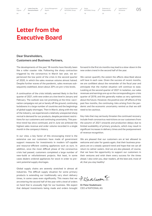Key Figures  $04$ 

Group Manage Report 06

Financial Statements RATIONAL Group 11 05 **Letter from the** 

Notes RATIONAL Group 16

Statement of Responsibility  $20$ 

Legal Notice Disclaimer  $21$ 

# **Letter from the Executive Board**

**Executive Board**

**05**

# **Dear Shareholders, Customers and Business Partners,**

The developments of the past 18 months have literally been like a roller coaster ride. Following the sharp contraction triggered by the coronavirus in March last year, we experienced the low point of the crisis in the second quarter of 2020, in which the sales revenue volume almost halved. Despite further waves of the pandemic, sales revenues subsequently stabilised, down about 20% on pre-crisis levels.

A continuation of the crisis initially seemed likely in the first quarter of 2021, with new orders at a low level in January and February. The outlook was not promising at the time: vaccination campaigns not yet or barely off the ground, continuing lockdowns in a large number of countries and the beginnings of global supply shortages. Then in March, along with the rest of the industry, we experienced a relatively unexpected sharp revival in demand for our products, despite persistent restrictions for our customers and continuing uncertainty. This positive trend has since continued, and in June we achieved the highest sales revenue and order volume recorded in a single month in the company's history.

In our view, a key factor of this encouraging trend is the extensive use our customers have made of government support measures for investments in modern IoT-capable and resource-efficient cooking appliances such as ours. In addition, once the most difficult phase of the coronavirus crisis had passed, customers completed a large number of new-build or refurbishment projects. Not least, in some cases dealers ordered appliances for stock in order to prevent potential supply shortages.

Global supply chains are severely stretched in almost all industries. The difficult supply situation for some primary products is extending our traditionally very short delivery times, in some cases even significantly. This means that we are entering the second half of the year with a level of orders on hand that is unusually high for our business. We expect that delayed investments being made and orders brought forward in the first six months may lead to a slow-down in the new orders trend in the second half of the year.

We cannot quantify the extent the effects described above will have in each case. Given the success of recent months, we are confident about the remainder of the fiscal year and anticipate that the market situation will continue to ease. Looking at the second quarter of 2021 in isolation, our sales revenues and earnings are up on the corresponding pre-crisis quarter of 2019, and this generally makes us very optimistic about the future. However, the positive one-off effects of the past few months, the continuing risks arising from the pandemic and the economic uncertainty remind us that we still need to be cautious.

Key risks that may seriously threaten the continued recovery include fresh coronavirus restrictions on our customers from the autumn of 2021 onwards and production delays due to limited availability of primary products, which may result in significant increases in delivery times and the postponement of revenue recognition.

We are pleased that our customers are at last allowed to welcome and cater for guests again, that their business prospects are on a steady upward trend and hope that we can all return to calmer waters. And we are also pleased, of course, that we have the opportunity to support our customers in their ventures and wish them every success for the times ahead. I also wish you, dear readers, all the best and, most of all, that you stay healthy!

P. S/a deluxion 5

**Dr Peter Stadelmann** CEO of RATIONAL AG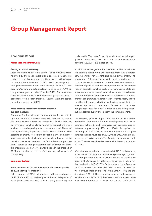# **Group Management Report**

# **Economic Report**

### **Macroeconomic framework**

### **Strong economic recovery**

After the sharp contraction during the coronavirus crisis, followed by the most severe global recession in almost a century, the global economy continues on a path of rapid recovery. After a decline of 3.3% in 2020, the IMF predicts that global economic output could rise by 6.0% in 2021. The eurozone's economic output is forecast to be up by 4.4% on the previous year, and the USA's by 6.4%. The fastest recovery in 2021, with expected economic growth of 8.6%, is predicted for the Asian markets. (Source: Warburg capital market prospects, July 2021).

### **Mass catering sector benefits from extensive support measures**

The entire food services sector was among the hardest hit by the worldwide lockdown measures. In order to cushion the most severe effects on companies in the industry, governments launched a large number of support initiatives such as cost and capital grants or investment aid. These aid packages are very important, especially for customers in the catering segment, to facilitate reopening after sometimes very long periods of closure and to allow businesses to position themselves ready for the future. From our perspective, it seems as though customers took advantage of these aid programmes on a very extensive scale in the first half of 2021, and this had a positive effect on the performance of the industry.

### **Earnings situation**

### **Sales revenues of 212 million euros in the second quarter of 2021 above pre-crisis level**

Sales revenues of 211.6 million euros in the second quarter of 2021 were 3% up on the figure in the second quarter of 2019 (205.1 million euros), hence slightly exceeding precrisis levels. That was 81% higher than in the prior-year quarter, which was very weak due to the coronavirus pandemic (2020: 116.8 million euros).

In addition to the general improvement in the situation of the catering sector, we have identified three key extraordinary factors that have contributed to this development. The opening up of the catering sector in most countries and the start of the tourist season prompted investments and led to the start of projects that had been postponed or the completion of projects launched earlier. In many cases, state aid measures were used to make these investments, which were sometimes brought forward due to the often limited duration of these programmes. Another reason for anticipatory effects was the tight supply situation worldwide, especially in the area of electronics components. Dealers and customers bought appliances for stock in order to avoid being caught out by potential supply shortages in the coming months.

The resulting positive impact was evident in all markets worldwide. Compared with the second quarter of 2020, all segments achieved significant increases in sales revenues by between approximately 50% and 100%. As against the second quarter of 2019, Asia and DACH generated a significant rise in sales revenues of 20%, while EMEA was slightly up on the pre-crisis quarter. The Americas segment was still about 15% down on the sales revenue for the second quarter of 2019.

After six months, sales revenues stand at 379.3 million euros, up 27 percent on the previous year. The year-on-year growth rates ranged from 19% in DACH to 43% in Asia. Sales revenues for the Group as a whole were, however, still 5% lower than in the first half of 2019. Only in Asia did the figure exceed the pre-crisis level by 18% in this period. DACH (–2%) was only just short of this level, while EMEA  $(-7%)$  and the Americas (–12%) still have some catching up to do. Adjusted for the more volatile chain business, six-month sales revenues in the Americas are on a level with the first half of 2019.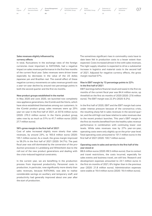Key Figures  $04$ Letter from the Executive Board 05 Financial Statements RATIONAL Group 11 Notes RATIONAL Group 16 Statement of Responsibility  $20$ Legal Notice Disclaimer  $21$ 07 **Group Management Report 06**

# **Sales revenues slightly influenced by currency effects**

In total, fluctuations in the exchange rates of the foreign currencies most important to RATIONAL had a negative impact on sales revenue performance in the first few months of the current fiscal year. Sales revenues were driven lower especially by decreases in the value of the US dollar, Japanese yen and Brazilian real. The overall effect of these negative currency movements on sales revenue growth was a year-on-year decline by around two percentage points in both the second quarter and the first six months.

#### **New product groups established in the market**

In May 2020 and June 2020, we launched two completely new appliance generations, the iCombi and the iVario, which have since established themselves among our customers. In the iCombi product group, sales revenues were up 25% year-on-year in the first half of 2021, at 337.6 million euros (2020: 270.3 million euros). In the iVario product group, sales rose by as much as 51% to 41.7 million euros (2020: 27.7 million euros).

### **56% gross margin in the first half of 2021**

Cost of sales increased slightly more slowly than sales revenues, by around 23%, to 165.6 million euros (2020: 135.1 million euros). As a result, the gross margin improved to 56.3% in the first half of 2021 (2020: 54.7%). The past fiscal year was still dominated by the conversion of the production processes in Landsberg and Wittenheim due to the roll-out of the new product generations and dealing with the crisis-induced logistical constraints.

In the current year, we are benefiting in the production process from improved productivity. Personnel costs in production, in particular, rose significantly more slowly than sales revenues, because RATIONAL was able to realise considerable savings on auxiliary and temporary staff, and productivity had generally improved about one year after the start of production.

The sometimes significant rises in commodity costs have to date been felt in production costs to a lesser extent than expected. Costs increased almost in line with sales revenues. The tight supply situation is expected to drive a substantial increase in logistics and material costs in the second half of 2021. Adjusted for negative currency effects, the gross margin reached 57%.

### **Rise in EBIT margin by 13 percentage points to 22% in the first half of 2021**

EBIT (earnings before financial result and taxes) in the first six months of the current fiscal year was 84.4 million euros, up threefold on the first six months of 2020 (2020: 27.6 million euros). The EBIT margin was 22.3% (2020: 9.2%).

In the first half of 2020, EBIT and the EBIT margin had come under intense pressure because of the coronavirus crisis, the resulting sharp fall in sales revenues in the second quarter, and the still high cost base relative to sales revenues due to the recent product launches. This year's EBIT margin in the first six months benefited from the healthy sales revenue performance in combination with continuing lower cost levels. While sales revenues rose by 27% year-on-year, operating costs were only slightly up on the prior-year level. Total operating costs amounted to 131.1 million euros in the first half of 2021 (2020: 130.7 million euros).

## **Operating costs in sales and service in the first half of the year stood at**

88.6 million euros (2020: 89.5 million euros). Due to contact and travel restrictions, the costs incurred, especially for sales events and business travel, are still low. Research and development expenses amounted to 23.1 million euros in the first six months of 2021, 6% higher than in the previous year (2020: 21.8 million euros). Administration expenses were stable at 19.4 million euros (2020: 19.4 million euros).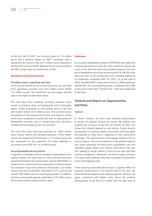In the first half of 2021, net currency gains of 1.3 million euros had a positive impact on EBIT, compared with a significant net currency loss of 4.7 million euros reported in the first six months of 2020. Adjusted for all currency effects, the EBIT margin after six months was 22.6%.

#### **Net assets and financial position**

### **76 million euros in operating cash flow**

In the first six months of the current fiscal year, our cash flow from operating activities was 76.5 million euros (2020: 17.2 million euros). This significant rise was largely attributable to the higher profit before taxes.

The cash flow from investing activities includes investments in property, plant and equipment and in intangible assets. These amounted to 10.9 million euros in the first half of 2021 (2020: 13.5 million euros). This is mainly due to investments in the construction of the new logistics centre, which was completed in spring this year, in expanding the Wittenheim location, and in modernising the machinery installed at the Landsberg am Lech location.

The cash flow from financing activities of  $-60.0$  million euros mainly reflects the dividend payment (–54.6 million euros), the repayment of bank loans (–1.1 million euros) and the repayment of and payments for lease liabilities in accordance with IFRS 16 (–4.3 million euros).

### **Securing liquidity has top priority**

A high level of liquidity and the resultant independence from capital markets and bank loans as well as preserving entrepreneurial freedom have always been vital for RATIONAL. In times of crisis, that is even more important in order to ensure our company's long-term existence and success. Our equity ratio at the end of June 2021 was high, at 77%, and we had around 240 million euros in net financial assets. In addition, we have contractually agreed credit lines of 75 million euros, which have not been drawn down to date.

### **Employees**

As a socially responsible company, RATIONAL had made only minimal adjustments to the size of its workforce during the crisis. In line with the improving market prospects, the number of employees rose in the second quarter for the first time since the start of the coronavirus crisis, climbing slightly by 12 employees compared with Q1 2021. As at the end of 2020, the RATIONAL Group had a total of 2,180 employees worldwide (–3% on the previous year), compared with 2,186 at the end of June 2021. Of this total, 1,236 were employed in Germany.

# **Outlook and Report on Opportunities and Risks**

### **Outlook**

In recent months, we have seen positive performance in almost all markets around the world. We believe that whether the recovery of the first six months of 2021 continues will critically depend on two factors. Firstly, there is the question of whether tighter restrictions will once again be imposed on daily life in response to new coronavirus outbreaks. The second factor is the supply situation for primary products. The current situation in the global market is very tense, especially for electronics components, and considerable supply delays and volume restrictions may persist, leading to longer delivery times on our part and later revenue recognition. Moreover, the tense supply situation is in some cases leading to dramatic increases in component prices and shipping costs.

If the scenarios described above have a negative effect on business performance in the second half of the year, the Executive Board expects that business growth will slow yet again, combined with higher costs. Given the positive development of the first six months and the high level of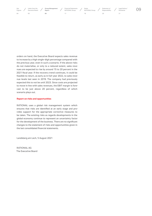

orders on hand, the Executive Board expects sales revenue to increase by a high single-digit percentage compared with the previous year, even in such a scenario. If the above risks do not materialise, or only to a reduced extent, sales revenues are expected to rise by around 15 to 20 percent in the 2021 fiscal year. If the recovery trend continues, it could be feasible to return, as early as in full-year 2022, to sales revenue levels last seen in 2019. The company had previously expected this to not be until 2023. Since costs are projected to move in line with sales revenues, the EBIT margin is forecast to be just above 20 percent, regardless of which scenario plays out.

### **Report on risks and opportunities**

RATIONAL uses a global risk management system which ensures that risks are identified at an early stage and provides support for the appropriate corrective measures to be taken. The existing risks as regards developments in the global economy continue to represent an uncertainty factor for the development of the business. There are no significant changes to the statement of risks and opportunities given in the last consolidated financial statements.

Landsberg am Lech, 5 August 2021

RATIONAL AG The Executive Board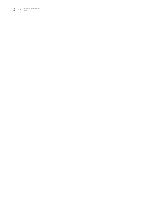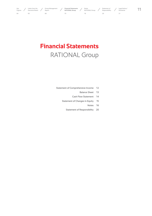| Key<br>Figures | Letter from the<br><b>Executive Board</b> | Group Management<br>Report | <b>Financial Statements</b><br><b>RATIONAL Group</b> | Notes<br>RATIONAL Group | Statement of<br>Responsibility | Legal Notice/<br>Disclaimer | -1 |
|----------------|-------------------------------------------|----------------------------|------------------------------------------------------|-------------------------|--------------------------------|-----------------------------|----|
|                | 05                                        | 06                         |                                                      |                         | 20                             |                             |    |

# **Financial Statements** RATIONAL Group

- Statement of Comprehensive Income 12
	- Balance Sheet 13
	- Cash Flow Statement 14
	- Statement of Changes in Equity 15
		- Notes 16
		- Statement of Responsibility 20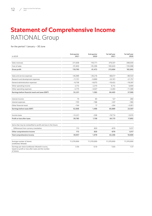# **Statement of Comprehensive Income** RATIONAL Group

for the period 1 January – 30 June

| in kEUR                                                                                                             | 2nd quarter<br>2021 | 2nd quarter<br>2020 | 1st half year<br>2021 | 1st half year<br>2020 |
|---------------------------------------------------------------------------------------------------------------------|---------------------|---------------------|-----------------------|-----------------------|
|                                                                                                                     |                     |                     |                       |                       |
| Sales revenues                                                                                                      | 211.638             | 116.771             | 379.337               | 298,030               |
| Cost of sales                                                                                                       | $-91,845$           | $-55,299$           | $-165,643$            | $-135,088$            |
| <b>Gross profit</b>                                                                                                 | 119,793             | 61,472              | 213,694               | 162,942               |
| Sales and service expenses                                                                                          | $-46.089$           | $-39,216$           | $-88,617$             | $-89,533$             |
| Research and development expenses                                                                                   | $-11,731$           | $-9,889$            | $-23,101$             | $-21,757$             |
| General administration expenses                                                                                     | $-9,739$            | $-9,073$            | $-19,422$             | $-19,397$             |
| Other operating income                                                                                              | 2,172               | 2,315               | 6,112                 | 6,694                 |
| Other operating expenses                                                                                            | $-2,175$            | $-4,027$            | $-4,263$              | $-11,389$             |
| Earnings before financial result and taxes (EBIT)                                                                   | 52,231              | 1,582               | 84,403                | 27,560                |
| Interest income                                                                                                     | 74                  | 85                  | 127                   | 280                   |
| Interest expenses                                                                                                   | $-155$              | $-188$              | $-347$                | $-382$                |
| Other financial result                                                                                              | $-144$              | 17                  | $-294$                | $-3,951$              |
| Earnings before taxes (EBT)                                                                                         | 52,006              | 1,496               | 83,889                | 23,507                |
| Income taxes                                                                                                        | $-12,221$           | $-338$              | $-19.714$             | $-5,615$              |
| Profit or loss after taxes                                                                                          | 39,785              | 1,158               | 64,175                | 17,892                |
| Items that may be reclassified to profit and loss in the future:                                                    |                     |                     |                       |                       |
| Differences from currency translation                                                                               | 172                 | 820                 | $-879$                | 1,017                 |
| Other comprehensive income                                                                                          | 172                 | 820                 | $-879$                | 1,017                 |
| Total comprehensive income                                                                                          | 39,957              | 1,978               | 63,296                | 18,909                |
| Average number of shares<br>(undiluted/diluted)                                                                     | 11,370,000          | 11,370,000          | 11,370,000            | 11,370,000            |
| Earnings per share (undiluted/diluted) in euros,<br>based on profit or loss after taxes and the number<br>of shares | 3.50                | 0.10                | 5.64                  | 1.57                  |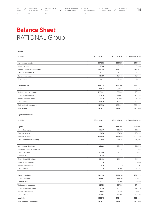| Kev<br>Figures | Letter from the<br><b>Executive Board</b> | Group Management<br>Report | <b>Financial Statements</b><br><b>RATIONAL Group</b> | <b>Notes</b><br>RATIONAL Group | Statement of<br>Responsibility | Legal Notice/<br>Disclaimer | ◡ |
|----------------|-------------------------------------------|----------------------------|------------------------------------------------------|--------------------------------|--------------------------------|-----------------------------|---|
| 04             |                                           | 06                         |                                                      |                                | 2Ο                             |                             |   |

# **Balance Sheet** RATIONAL Group

#### **Assets**

| in kEUR                       | 30 June 2021 | 30 June 2020 | 31 December 2020 |
|-------------------------------|--------------|--------------|------------------|
|                               |              |              |                  |
| Non-current assets            | 217,252      | 209,829      | 217,003          |
| Intangible assets             | 5,748        | 6,925        | 6,508            |
| Property, plant and equipment | 195,796      | 187,773      | 194,977          |
| Other financial assets        | 1,141        | 1,335        | 1,145            |
| Deferred tax assets           | 12,750       | 12,663       | 12,514           |
| Other assets                  | 1,817        | 1,133        | 1,859            |
| <b>Current assets</b>         | 492,775      | 405,250      | 453,743          |
| Inventories                   | 77,946       | 83,514       | 79,285           |
| Trade accounts receivable     | 122,342      | 85,564       | 98,750           |
| Other financial assets        | 20,814       | 22,449       | 25,928           |
| Income tax receivables        | 9,436        | 10,602       | 8,279            |
| Other assets                  | 19,839       | 17,125       | 10,373           |
| Cash and cash equivalents     | 242,398      | 185,996      | 231,128          |
| <b>Total assets</b>           | 710,027      | 615,079      | 670,746          |

### **Equity and liabilities**

| in kEUR                             | 30 June 2021 | 30 June 2020 | 31 December 2020 |
|-------------------------------------|--------------|--------------|------------------|
|                                     |              |              |                  |
| Equity                              | 543,812      | 471,468      | 535,091          |
| Subscribed capital                  | 11,370       | 11,370       | 11,370           |
| Capital reserves                    | 28,058       | 28,058       | 28,058           |
| Retained earnings                   | 509,890      | 438,086      | 500,290          |
| Other components of equity          | $-5,506$     | $-6,046$     | $-4,627$         |
| <b>Non-current liabilities</b>      | 34,089       | 33,997       | 34,456           |
| Pension and similar obligations     | 6,732        | 6,357        | 6,508            |
| Other provisions                    | 10,389       | 8,724        | 9,056            |
| Financial debt                      | 1,416        | 2,861        | 2,126            |
| Other financial liabilities         | 14,426       | 14,525       | 14,524           |
| Deferred tax liabilities            | 28           | 321          | 406              |
| Income tax liabilities              | 820          |              | 497              |
| Other liabilities                   | 278          | 1,209        | 1,339            |
| <b>Current liabilities</b>          | 132,126      | 109,614      | 101,199          |
| Other provisions                    | 54,003       | 46,070       | 40,044           |
| Financial debt                      | 2,173        | 2,790        | 2,550            |
| Trade accounts payable              | 24,720       | 18,798       | 21,154           |
| Other financial liabilities         | 9,590        | 10,151       | 12,236           |
| Income tax liabilities              | 8,948        | 9,507        | 7,013            |
| Other liabilities                   | 32,692       | 22,298       | 18,202           |
| Liabilities                         | 166,215      | 143,611      | 135,655          |
| <b>Total equity and liabilities</b> | 710,027      | 615,079      | 670,746          |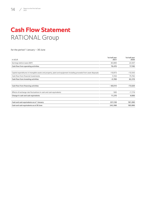# **Cash Flow Statement** RATIONAL Group

for the period 1 January – 30 June

| in kEUR                                                                                                             | 1st half year<br>2021 | 1st half year<br>2020 |
|---------------------------------------------------------------------------------------------------------------------|-----------------------|-----------------------|
| Earnings before taxes (EBT)                                                                                         | 83,889                | 23,507                |
| Cash flow from operating activities                                                                                 | 76,470                | 17,190                |
| Capital expenditures in intangible assets and property, plant and equipment including proceeds from asset disposals | $-10,873$             | $-13,543$             |
| Cash flow from financial investments                                                                                | 5,104                 | 75,762                |
| Cash flow from investing activities                                                                                 | $-5,769$              | 62,219                |
| Cash flow from financing activities                                                                                 | $-60,014$             | $-73,629$             |
| Effects of exchange rate fluctuations in cash and cash equivalents                                                  | 583                   | $-1,174$              |
| Change in cash and cash equivalents                                                                                 | 11,270                | 4,606                 |
| Cash and cash equivalents as at 1 January                                                                           | 231,128               | 181,390               |
| Cash and cash equivalents as at 30 June                                                                             | 242,398               | 185,996               |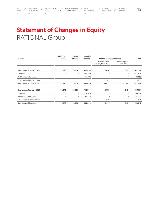# **Statement of Changes in Equity** RATIONAL Group

| in kEUR                      | Subscribed<br>capital    | Capital<br>reserves      | Retained<br>earnings | Other components of equity               |                               | Total     |
|------------------------------|--------------------------|--------------------------|----------------------|------------------------------------------|-------------------------------|-----------|
|                              |                          |                          |                      | Differences from<br>currency translation | Actuarial gains<br>and losses |           |
| Balance as at 1 January 2020 | 11,370                   | 28,058                   | 485,003              | $-5,474$                                 | $-1,589$                      | 517,368   |
| Dividend                     |                          | $\qquad \qquad -$        | $-64,809$            |                                          |                               | $-64,809$ |
| Profit or loss after taxes   | $\overline{\phantom{0}}$ | $\qquad \qquad$          | 17,892               |                                          |                               | 17,892    |
| Other comprehensive income   |                          | $\overline{\phantom{0}}$ |                      | 1,017                                    |                               | 1,017     |
| Balance as at 30 June 2020   | 11,370                   | 28,058                   | 438,086              | $-4,457$                                 | $-1,589$                      | 471,468   |
| Balance as at 1 January 2021 | 11,370                   | 28,058                   | 500,290              | $-3,078$                                 | $-1,549$                      | 535,091   |
| Dividend                     | -                        | $\qquad \qquad -$        | $-54,576$            |                                          | $\overline{\phantom{0}}$      | $-54,576$ |
| Profit or loss after taxes   | -                        | $\qquad \qquad -$        | 64,175               | $\overline{\phantom{0}}$                 | -                             | 64,175    |
| Other comprehensive income   | $\overline{\phantom{0}}$ | $\overline{\phantom{a}}$ |                      | $-879$                                   |                               | $-879$    |
| Balance as at 30 June 2021   | 11,370                   | 28,058                   | 509,890              | $-3,957$                                 | $-1,549$                      | 543,812   |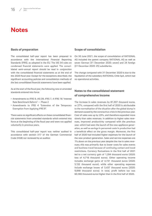# **Notes**

# **Basis of preparation**

The consolidated half-year report has been prepared in accordance with the International Financial Reporting Standards (IFRS), as adopted in the EU. The IAS 34 rules on condensed financial statements were applied. The consolidated semi-annual report should be read in conjunction with the consolidated financial statements as at the end of the 2020 fiscal year. Except for the exceptions described, the significant accounting policies and consolidation methods of the last consolidated financial statements have been applied.

As at the start of the fiscal year, the following new or amended standards entered into force:

- **›** Amendments to IFRS 9, IAS 39, IFRS 7, 4 IFRS 16 "Interest Rate Benchmark Reform" — Phase 2
- **›** Amendments to IFRS 4 "Extension of the Temporary Exemption from Applying IFRS 9".

There were no significant effects on these consolidated financial statements from amended standards which entered into force at the beginning of the fiscal year and were not applied voluntarily in previous years.

This consolidated half-year report was neither audited in accordance with section 317 of the German Commercial Code (HGB) nor reviewed by an auditor.

# **Scope of consolidation**

On 30 June 2021, the scope of consolidation of RATIONAL AG included the parent company RATIONAL AG as well as seven German (31 December 2020: seven) and 24 foreign (31 December 2020: 25) subsidiaries.

The change compared with 31 December 2020 is due to the liquidation of the subsidiary RATIONAL Chile SpA, which had no operational activities.

# **Notes to the consolidated statement of comprehensive income**

The increase in sales revenues by 81,307 thousand euros, or 27%, compared with the first half of 2020 is attributable to the normalisation of the situation after the global slump in demand caused by the coronavirus crisis in the previous year. Cost of sales was up by 23%, and therefore expanded more slowly than sales revenues. In addition to higher sales revenues, improved productivity compared with the previous year, which had seen the launch of the new appliance generation, as well as savings in personnel costs in production had a beneficial effect on the gross margin. Moreover, the first half of 2020 had included higher expenses for the launch of the new product generation. Sales and service expenses are 1% down on the previous year despite the rise in sales revenues; this was primarily due to lower costs for sales events and business travel because of continuing contact and travel restrictions. Currency fluctuations in the first half of 2021 led to a net currency gain of 1,294 thousand euros (2020: loss of 4,716 thousand euros). Other operating income includes exchange gains of 4,731 thousand euros (2020: 5,132 thousand euros), while other operating expenses include exchange losses of 3,437 thousand euros (2020: 9,848 thousand euros). In total, profit before tax was 60,382 thousand euros higher than in the first half of 2020.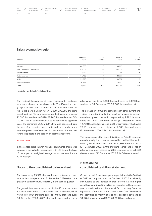| Key     | Letter from the        | Group Management | <b>Financial Statements</b> | <b>Notes</b>          | Statement of   | Legal Notice/ |
|---------|------------------------|------------------|-----------------------------|-----------------------|----------------|---------------|
| Figures | <b>Executive Board</b> | Report           | RATIONAL Group              | <b>RATIONAL Group</b> | Responsibility | Disclaimer    |
| 04      |                        | าค               |                             |                       |                |               |

# **Sales revenues by region**

| in kEUR                        | 1st half of<br>2021 | $\frac{0}{0}$<br>of total | 1st half of<br>2020 | $\frac{0}{0}$<br>of total |
|--------------------------------|---------------------|---------------------------|---------------------|---------------------------|
|                                |                     |                           |                     |                           |
| Germany                        | 48,053              | 13                        | 39,227              | 13                        |
| Europe (excluding Germany)     | 169,007             | 44                        | 131,553             | 44                        |
| North America                  | 67,373              | 18                        | 55,286              | 18                        |
| Latin America                  | 14,790              | $\overline{4}$            | 11,777              | $\overline{4}$            |
| Asia                           | 59,730              | 16                        | 43,552              | 15                        |
| Rest of the world <sup>1</sup> | 20,384              | 5                         | 16,635              | 6                         |
| Total                          | 379,337             | 100                       | 298,030             | 100                       |

1 Australia, New Zealand, Middle East, Africa

The regional breakdown of sales revenues by customer location is shown in the above table: The iCombi product group achieved sales revenues of 337,641 thousand euros in the period under review (2020: 270,290 thousand euros), and the iVario product group had sales revenues of 41,696 thousand euros (2020: 27,740 thousand euros). 74% (2020: 72%) of sales revenues was attributable to appliance sales. The remaining 26% (2020: 28%) was generated from the sale of accessories, spare parts and care products and from the provision of services. Further information on sales revenues appears in the section on segment reporting.

### **Income taxes**

In the consolidated interim financial statements, income tax expense is calculated in accordance with IAS 34 on the basis of the expected weighted average annual tax rate for the 2021 fiscal year.

# **Notes to the consolidated balance sheet**

The increase by 23,592 thousand euros in trade accounts receivable as compared with 31 December 2020 reflects the growth in sales revenues, especially in the second quarter.

The growth in other current assets by 9,466 thousand euros is mainly attributable to value added tax receivables, which were up by 4,824 thousand euros to 10,893 thousand euros (31 December 2020: 6,069 thousand euros) and a rise in advance payments by 3,300 thousand euros to 5,389 thousand euros (31 December 2020: 2,089 thousand euros).

The increase of 13,959 thousand euros in other current provisions is predominantly the result of growth in personnel-related provisions, which expanded by 7,792 thousand euros to 22,542 thousand euros (31 December 2020: 14,750 thousand euros), and in other provisions, which were 2,268 thousand euros higher at 7,508 thousand euros (31 December 2020: 5.240 thousand euros).

The expansion of other current liabilities by 14,490 thousand euros is mainly due to higher value added tax liabilities, which rose by 6,399 thousand euros to 12,802 thousand euros (31 December 2020: 6,403 thousand euros) and a rise in advance payments received by 5,887 thousand euros to 8,334 thousand euros (31 December 2020: 2,447 thousand euros).

# **Notes on the consolidated cash flow statement**

Growth in cash flows from operating activities in the first half of 2021 as compared with the first half of 2020 is primarily attributable to the increase in profit before tax. The higher cash flow from investing activities recorded in the previous year is attributable to the special factor arising from the liquidation of the special fund. The cash outflow from financing activities is mainly due to the dividend payment of 54,576 thousand euros (2020: 64,809 thousand euros).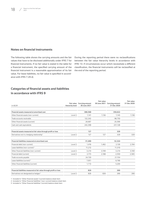# **Notes on financial instruments**

The following table shows the carrying amounts and the fair values that have to be disclosed additionally under IFRS 7 for financial instruments. If no fair value is stated in the table for a financial instrument, the specified carrying amount of the financial instrument is a reasonable approximation of its fair value. For lease liabilities, no fair value is specified in accordance with IFRS 7.29 d).

During the reporting period there were no reclassifications between the fair value hierarchy levels in accordance with IFRS 13. If circumstances occur which necessitate a different classification, the financial instruments will be reclassified at the end of the reporting period.

# **Categories of financial assets and liabilities in accordance with IFRS 9**

|                                                                     |                 | Fair value Carrying amount | <b>Fair value</b><br>30 June 2021 | <b>Carrying amount</b> | <b>Fair value</b><br>31 Dec 2020 |
|---------------------------------------------------------------------|-----------------|----------------------------|-----------------------------------|------------------------|----------------------------------|
| in kEUR                                                             | hierarchy level | 30 June 2021               |                                   | 31 Dec 2020            |                                  |
| Financial assets measured at amortised cost                         |                 | 386,568                    |                                   | 356,622                |                                  |
| Other financial assets (non-current)                                | Level 2         | 1,141                      | 1,136                             | 1,145                  | 1,138                            |
| Trade accounts receivable                                           |                 | 122,342                    |                                   | 98.750                 |                                  |
| Other financial assets (current)                                    |                 | 20,687                     |                                   | 25,599                 |                                  |
| Cash and cash equivalents                                           |                 | 242,398                    |                                   | 231,128                |                                  |
| Financial assets measured at fair value through profit or loss      |                 | 127                        |                                   | 329                    |                                  |
| Derivatives not in a hedging relationship <sup>1</sup>              | Level 2         | 127                        | 127                               | 329                    | 329                              |
| Financial liabilities measured at amortised cost                    |                 | 51,499                     |                                   | 52,324                 |                                  |
| Financial debt (non-current)                                        | Level 2         | 1.416                      | 1.462                             | 2.126                  | 2,194                            |
| Lease liabilities (non-current) <sup>2</sup>                        |                 | 11,212                     |                                   | 11,310                 |                                  |
| Other financial liabilities (non-current)                           | Level 2         | 3,214                      | 3,199                             | 3,214                  | 3,169                            |
| Financial debt (current)                                            | Level 2         | 2,173                      | 2,188                             | 2,550                  | 2,565                            |
| Trade accounts payable                                              |                 | 24,720                     |                                   | 21,154                 |                                  |
| Lease liabilities (current) <sup>3</sup>                            |                 | 7,051                      |                                   | 6,766                  |                                  |
| Other financial liabilities (current)                               |                 | 1,713                      |                                   | 5,204                  |                                  |
| Financial liabilities measured at fair value through profit or loss |                 | 826                        |                                   | 266                    |                                  |
| Derivatives not designated as hedges <sup>3</sup>                   | Level 2         | 826                        | 826                               | 266                    | 266                              |

1 Included in "Other financial assets" (current) balance sheet item

2 Included in "Other financial liabilities" (non-current) balance sheet item

3 Included in "Other financial liabilities" (current) balance sheet item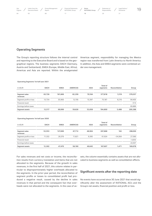

# **Operating Segments**

The Group's reporting structure follows the internal control and reporting to the Executive Board and is based on the geographical regions. The business segments DACH (Germany, Austria and Switzerland), EMEA (Europe, Middle East, Africa), Americas and Asia are reported. Within the amalgamated

Americas segment, responsibility for managing the Mexico region was transferred from Latin America to North America. In addition, the Asia and EMEA segments were combined under one management.

| in kEUR                   |             |             |                 |             | <b>Total of</b> |                       |         |
|---------------------------|-------------|-------------|-----------------|-------------|-----------------|-----------------------|---------|
|                           | <b>DACH</b> | <b>EMEA</b> | <b>AMERICAS</b> | <b>ASIA</b> | segments        | <b>Reconciliation</b> | Group   |
|                           |             |             |                 |             |                 |                       |         |
| Segment sales<br>revenues | 63.726      | 161.669     | 82.259          | 70.164      | 377,818         | 1.519                 | 379,337 |
| Segment profit or loss    | 13.734      | 35.900      | 12.156          | 13.397      | 75.187          | 9.216                 | 84,403  |
| Financial result          |             |             |                 |             |                 |                       | $-514$  |
| Earnings before taxes     |             |             |                 |             |                 |                       | 83,889  |
| Segment assets            | 12.517      | 69.999      | 59.626          | 52.658      | 194.800         | 5.488                 | 200.288 |

#### **Operating Segments 1st half year 2021**

#### **Operating Segments 1st half year 2020**

|                           |             |             |                 |             | <b>Total of</b> |                |          |
|---------------------------|-------------|-------------|-----------------|-------------|-----------------|----------------|----------|
| in kEUR                   | <b>DACH</b> | <b>EMEA</b> | <b>AMERICAS</b> | <b>ASIA</b> | segments        | Reconciliation | Group    |
|                           |             |             |                 |             |                 |                |          |
| Segment sales<br>revenues | 53,553      | 127.699     | 67.712          | 48.904      | 297.868         | 162            | 298,030  |
| Segment profit or loss    | 11.332      | 29.376      | 11.821          | 9.395       | 61.924          | $-34.364$      | 27.560   |
| Financial result          |             |             |                 |             |                 |                | $-4,053$ |
| Earnings before taxes     |             |             |                 |             |                 |                | 23,507   |
| <b>Segment assets</b>     | 12,302      | 47,470      | 58,190          | 49.645      | 167,607         | 1,471          | 169,078  |

For sales revenues and net costs or income, the reconciliation results from currency translation and items that are not allocated to the segments. Because of the growth in sales revenues, in the first half of 2021, this column relates in particular to disproportionately higher overheads allocated to the segments. In the prior-year period, the reconciliation of segment profits or losses to consolidated profit had produced a negative result, caused by the decline in sales revenues in that period and the consequent fact that overheads were not allocated to the segments. In the case of assets, the column essentially contains assets that are not allocated to business segments as well as consolidation effects.

# **Significant events after the reporting date**

No events have occurred since 30 June 2021 that would significantly alter the assessment of RATIONAL AG's and the Group's net assets, financial position and profit or loss.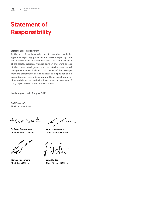# **Statement of Responsibility**

### **Statement of Responsibility**

To the best of our knowledge, and in accordance with the applicable reporting principles for interim reporting, the consolidated financial statements give a true and fair view of the assets, liabilities, financial position and profit or loss of the consolidated group, and the interim consolidated management report includes a fair review of the development and performance of the business and the position of the group, together with a description of the principal opportunities and risks associated with the expected development of the group in the remainder of the fiscal year.

Landsberg am Lech, 5 August 2021

RATIONAL AG The Executive Board

P. Saddworm 5

**Dr Peter Stadelmann** Chief Executive Officer

**Markus Paschmann** Chief Sales Officer

le 2

**Peter Wiedemann** Chief Technical Officer

**Jörg Walter** Chief Financial Officer